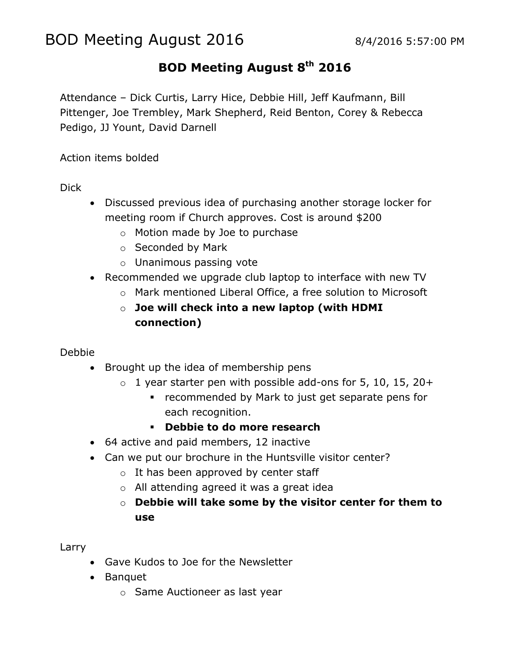# BOD Meeting August 2016 8/4/2016 5:57:00 PM

## **BOD Meeting August 8th 2016**

Attendance – Dick Curtis, Larry Hice, Debbie Hill, Jeff Kaufmann, Bill Pittenger, Joe Trembley, Mark Shepherd, Reid Benton, Corey & Rebecca Pedigo, JJ Yount, David Darnell

Action items bolded

Dick

- Discussed previous idea of purchasing another storage locker for meeting room if Church approves. Cost is around \$200
	- o Motion made by Joe to purchase
	- o Seconded by Mark
	- o Unanimous passing vote
- Recommended we upgrade club laptop to interface with new TV
	- o Mark mentioned Liberal Office, a free solution to Microsoft
	- o **Joe will check into a new laptop (with HDMI connection)**

#### Debbie

- Brought up the idea of membership pens
	- $\circ$  1 year starter pen with possible add-ons for 5, 10, 15, 20+
		- **•** recommended by Mark to just get separate pens for each recognition.
		- **Debbie to do more research**
- 64 active and paid members, 12 inactive
- Can we put our brochure in the Huntsville visitor center?
	- $\circ$  It has been approved by center staff
	- o All attending agreed it was a great idea
	- o **Debbie will take some by the visitor center for them to use**

Larry

- Gave Kudos to Joe for the Newsletter
- Banquet
	- o Same Auctioneer as last year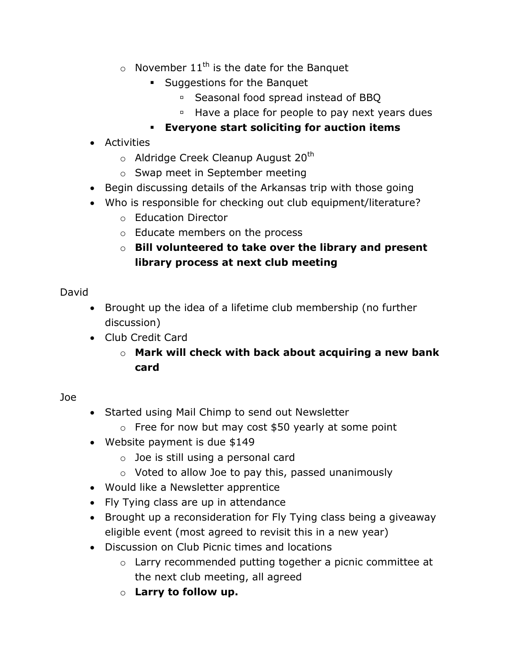- $\circ$  November 11<sup>th</sup> is the date for the Banquet
	- **Suggestions for the Banquet** 
		- Seasonal food spread instead of BBO
		- <sup>o</sup> Have a place for people to pay next years dues
	- **Everyone start soliciting for auction items**
- Activities
	- $\circ$  Aldridge Creek Cleanup August 20<sup>th</sup>
	- o Swap meet in September meeting
- Begin discussing details of the Arkansas trip with those going
- Who is responsible for checking out club equipment/literature?
	- o Education Director
	- o Educate members on the process
	- o **Bill volunteered to take over the library and present library process at next club meeting**

### David

- Brought up the idea of a lifetime club membership (no further discussion)
- Club Credit Card
	- o **Mark will check with back about acquiring a new bank card**

### Joe

- Started using Mail Chimp to send out Newsletter
	- $\circ$  Free for now but may cost \$50 yearly at some point
- Website payment is due \$149
	- o Joe is still using a personal card
	- o Voted to allow Joe to pay this, passed unanimously
- Would like a Newsletter apprentice
- Fly Tying class are up in attendance
- Brought up a reconsideration for Fly Tying class being a giveaway eligible event (most agreed to revisit this in a new year)
- Discussion on Club Picnic times and locations
	- o Larry recommended putting together a picnic committee at the next club meeting, all agreed
	- o **Larry to follow up.**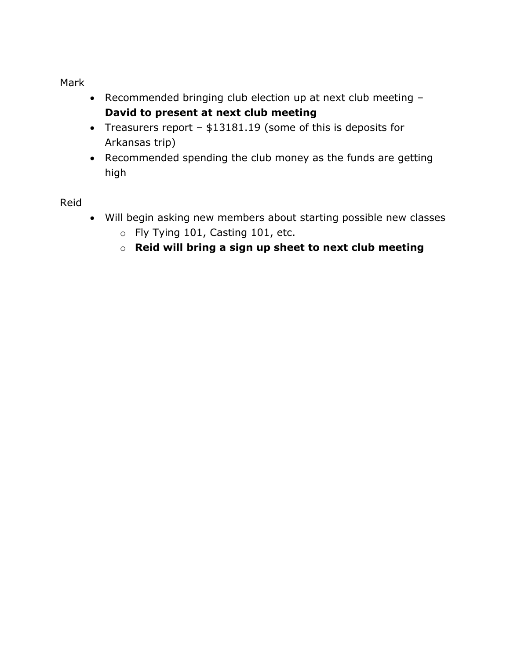Mark

- Recommended bringing club election up at next club meeting **David to present at next club meeting**
- Treasurers report \$13181.19 (some of this is deposits for Arkansas trip)
- Recommended spending the club money as the funds are getting high

Reid

- Will begin asking new members about starting possible new classes
	- o Fly Tying 101, Casting 101, etc.
	- o **Reid will bring a sign up sheet to next club meeting**